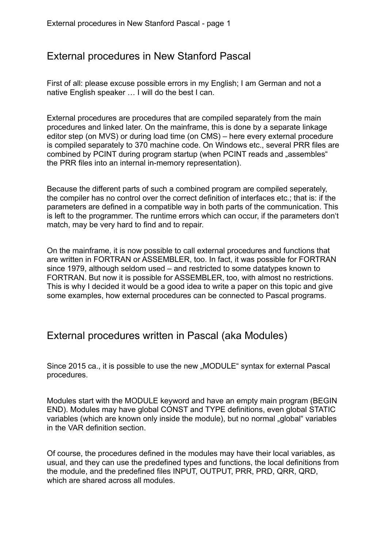# External procedures in New Stanford Pascal

First of all: please excuse possible errors in my English; I am German and not a native English speaker … I will do the best I can.

External procedures are procedures that are compiled separately from the main procedures and linked later. On the mainframe, this is done by a separate linkage editor step (on MVS) or during load time (on CMS) – here every external procedure is compiled separately to 370 machine code. On Windows etc., several PRR files are combined by PCINT during program startup (when PCINT reads and "assembles" the PRR files into an internal in-memory representation).

Because the different parts of such a combined program are compiled seperately, the compiler has no control over the correct definition of interfaces etc.; that is: if the parameters are defined in a compatible way in both parts of the communication. This is left to the programmer. The runtime errors which can occur, if the parameters don't match, may be very hard to find and to repair.

On the mainframe, it is now possible to call external procedures and functions that are written in FORTRAN or ASSEMBLER, too. In fact, it was possible for FORTRAN since 1979, although seldom used – and restricted to some datatypes known to FORTRAN. But now it is possible for ASSEMBLER, too, with almost no restrictions. This is why I decided it would be a good idea to write a paper on this topic and give some examples, how external procedures can be connected to Pascal programs.

### External procedures written in Pascal (aka Modules)

Since 2015 ca., it is possible to use the new "MODULE" syntax for external Pascal procedures.

Modules start with the MODULE keyword and have an empty main program (BEGIN END). Modules may have global CONST and TYPE definitions, even global STATIC variables (which are known only inside the module), but no normal "global" variables in the VAR definition section.

Of course, the procedures defined in the modules may have their local variables, as usual, and they can use the predefined types and functions, the local definitions from the module, and the predefined files INPUT, OUTPUT, PRR, PRD, QRR, QRD, which are shared across all modules.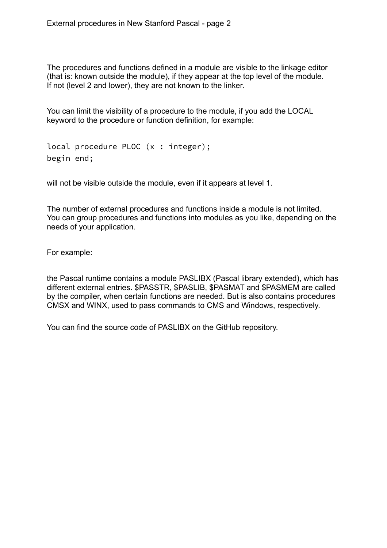The procedures and functions defined in a module are visible to the linkage editor (that is: known outside the module), if they appear at the top level of the module. If not (level 2 and lower), they are not known to the linker.

You can limit the visibility of a procedure to the module, if you add the LOCAL keyword to the procedure or function definition, for example:

local procedure PLOC (x : integer); begin end;

will not be visible outside the module, even if it appears at level 1.

The number of external procedures and functions inside a module is not limited. You can group procedures and functions into modules as you like, depending on the needs of your application.

For example:

the Pascal runtime contains a module PASLIBX (Pascal library extended), which has different external entries. \$PASSTR, \$PASLIB, \$PASMAT and \$PASMEM are called by the compiler, when certain functions are needed. But is also contains procedures CMSX and WINX, used to pass commands to CMS and Windows, respectively.

You can find the source code of PASLIBX on the GitHub repository.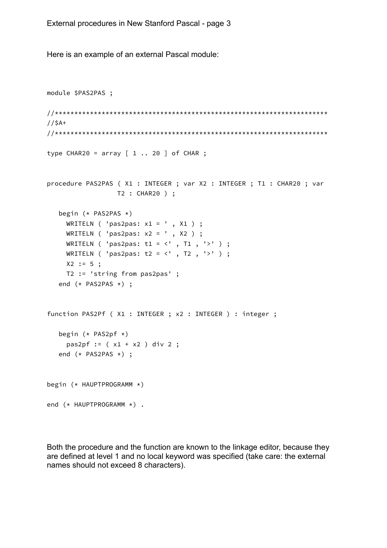Here is an example of an external Pascal module:

```
module $PAS2PAS ;
//$A+type CHAR20 = array [ 1 .. 20 ] of CHAR ;procedure PAS2PAS (X1 : INTEGER ; var X2 : INTEGER ; T1 : CHAR20 ; var
              T2 : CHAR20 ) ;
  begin (* PAS2PAS *)WRITELN ( 'pas2pas: x1 = ', X1 ) ;
    WRITELN ( 'pas2pas: x2 = ' , X2 ) ;
    WRITELN ( 'pas2pas: t1 = \langle ' , T1 , ' \rangle ' ) ;
    WRITELN ( 'pas2pas: t2 = <' , T2 , '>' ) ;
    X2 := 5;
   T2 := 'string from pas2pas' ;
  end (* PAS2PAS *) ;
function PAS2Pf ( X1 : INTEGER ; x2 : INTEGER ) : integer ;
  begin (* PAS2pf *)pas2pf := (x1 + x2) div 2;end (* PAS2PAS *) ;
begin (* HAUPTPROGRAMM *)end (* HAUPTPROGRAMM *) .
```
Both the procedure and the function are known to the linkage editor, because they are defined at level 1 and no local keyword was specified (take care: the external names should not exceed 8 characters).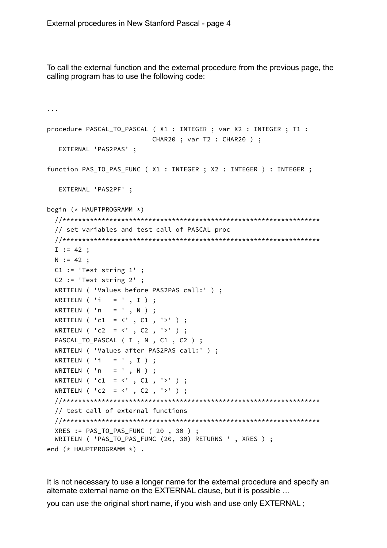To call the external function and the external procedure from the previous page, the calling program has to use the following code:

```
...
procedure PASCAL_TO_PASCAL ( X1 : INTEGER ; var X2 : INTEGER ; T1 :
                            CHAR20 ; var T2 : CHAR20 ) ;
    EXTERNAL 'PAS2PAS' ;
function PAS_TO_PAS_FUNC ( X1 : INTEGER ; X2 : INTEGER ) : INTEGER ;
    EXTERNAL 'PAS2PF' ;
begin (* HAUPTPROGRAMM *)
   //******************************************************************
   // set variables and test call of PASCAL proc 
   //******************************************************************
  I := 42;N := 42;
   C1 := 'Test string 1' ;
   C2 := 'Test string 2' ;
  WRITELN ( 'Values before PAS2PAS call:' ) ;
  WRITELN ('i = ' , I );
   WRITELN ( 'n = ' , N ) ;
  WRITELN ( 'c1 = \langle ' , C1 , ' \rangle ' );
  WRITELN ( 'c2 = \langle ' , C2 , ' \rangle ' ) ;
  PASCAL_TO_PASCAL ( I , N , C1 , C2 ) ;
   WRITELN ( 'Values after PAS2PAS call:' ) ;
  WRITELN ( 'i = ' , I ) ;WRITELN ('n = ' , N );
  WRITELN ( 'c1 = \langle ' , C1 , ' \rangle ' ) ;
   WRITELN ( 'c2 = <' , C2 , '>' ) ;
   //******************************************************************
   // test call of external functions 
   //******************************************************************
   XRES := PAS_TO_PAS_FUNC ( 20 , 30 ) ;
   WRITELN ( 'PAS_TO_PAS_FUNC (20, 30) RETURNS ' , XRES ) ;
end (* HAUPTPROGRAMM *) .
```
It is not necessary to use a longer name for the external procedure and specify an alternate external name on the EXTERNAL clause, but it is possible …

you can use the original short name, if you wish and use only EXTERNAL ;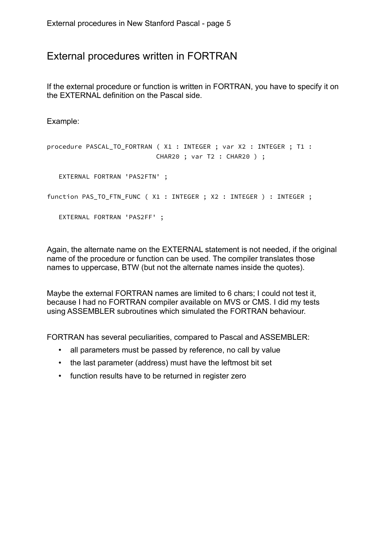# External procedures written in FORTRAN

If the external procedure or function is written in FORTRAN, you have to specify it on the EXTERNAL definition on the Pascal side.

Example:

```
procedure PASCAL_TO_FORTRAN ( X1 : INTEGER ; var X2 : INTEGER ; T1 :
                             CHAR20 ; var T2 : CHAR20 ) ;
    EXTERNAL FORTRAN 'PAS2FTN' ;
function PAS_TO_FTN_FUNC ( X1 : INTEGER ; X2 : INTEGER ) : INTEGER ;
    EXTERNAL FORTRAN 'PAS2FF' ;
```
Again, the alternate name on the EXTERNAL statement is not needed, if the original name of the procedure or function can be used. The compiler translates those names to uppercase, BTW (but not the alternate names inside the quotes).

Maybe the external FORTRAN names are limited to 6 chars; I could not test it, because I had no FORTRAN compiler available on MVS or CMS. I did my tests using ASSEMBLER subroutines which simulated the FORTRAN behaviour.

FORTRAN has several peculiarities, compared to Pascal and ASSEMBLER:

- all parameters must be passed by reference, no call by value
- the last parameter (address) must have the leftmost bit set
- function results have to be returned in register zero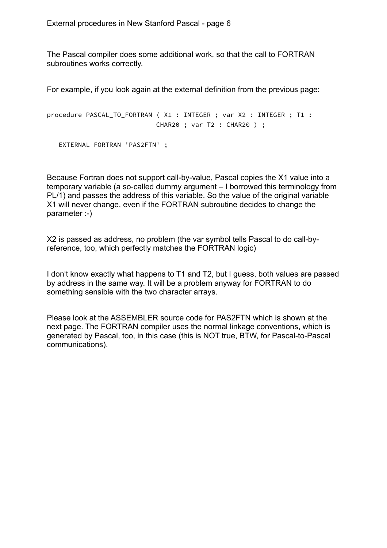The Pascal compiler does some additional work, so that the call to FORTRAN subroutines works correctly.

For example, if you look again at the external definition from the previous page:

```
procedure PASCAL_TO_FORTRAN ( X1 : INTEGER ; var X2 : INTEGER ; T1 :
                             CHAR20 ; var T2 : CHAR20 ) ;
```

```
 EXTERNAL FORTRAN 'PAS2FTN' ;
```
Because Fortran does not support call-by-value, Pascal copies the X1 value into a temporary variable (a so-called dummy argument – I borrowed this terminology from PL/1) and passes the address of this variable. So the value of the original variable X1 will never change, even if the FORTRAN subroutine decides to change the parameter :-)

X2 is passed as address, no problem (the var symbol tells Pascal to do call-byreference, too, which perfectly matches the FORTRAN logic)

I don't know exactly what happens to T1 and T2, but I guess, both values are passed by address in the same way. It will be a problem anyway for FORTRAN to do something sensible with the two character arrays.

Please look at the ASSEMBLER source code for PAS2FTN which is shown at the next page. The FORTRAN compiler uses the normal linkage conventions, which is generated by Pascal, too, in this case (this is NOT true, BTW, for Pascal-to-Pascal communications).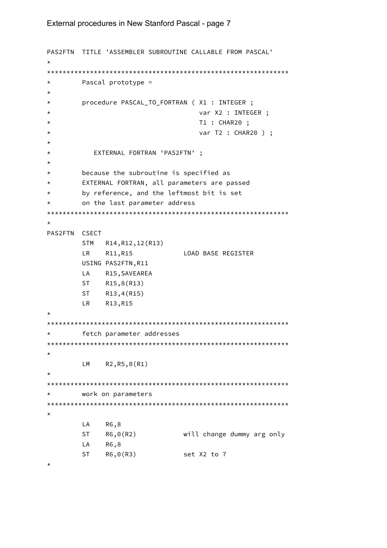#### External procedures in New Stanford Pascal - page 7

```
PAS2FTN TITLE 'ASSEMBLER SUBROUTINE CALLABLE FROM PASCAL'
\starPascal prototype =
\star\star\starprocedure PASCAL_TO_FORTRAN ( X1 : INTEGER ;
                           var X2 : INTEGER ;
\starT1 : CHAR20 ;
\starvar T2 : CHAR20 ) ;
\star\star\starEXTERNAL FORTRAN 'PAS2FTN' ;
\starbecause the subroutine is specified as
\starEXTERNAL FORTRAN, all parameters are passed
\starby reference, and the leftmost bit is set
\staron the last parameter address
\star\starPAS2FTN CSECT
      STM R14, R12, 12(R13)
      LR 1
          R11,R15
                        LOAD BASE REGISTER
      USING PAS2FTN, R11
      LA R15, SAVEAREA
      ST R15,8(R13)
      ST R13,4(R15)
      LR R13, R15
\star\starfetch parameter addresses
\starR2,R5,0(R1)
      LM
work on parameters
\star\starLA
          R6,8
      ST<sub>1</sub>
          R6,0(R2)will change dummy arg only
      LA
          R6,8
      ST
          R6,0(R3)set X2 to 7
\star
```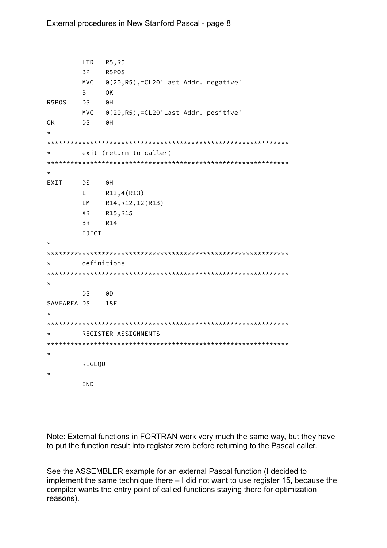```
LTR
       R5, R5
    BP
       R5POS
    MVC
       0(20, R5), = CL20'Last Addr. negative'
    \mathsf{B}OK
R5POS
    DS.
       0HMVC
       0(20,R5),=CL20'Last Addr. positive'
    DS
       ΘH
OK
\starexit (return to caller)
\starFXTT
    DS
       0HLR13, 4(R13)R14, R12, 12 (R13)
    LM
       R15, R15
    XR
       R14
    BR
    FIFCT
\stardefinitions
\star\starDS
       ODSAVEAREA DS
       18F
\overline{1}\starREGISTER ASSIGNMENTS
\starREGEQU
\starEND
```
Note: External functions in FORTRAN work very much the same way, but they have to put the function result into register zero before returning to the Pascal caller.

See the ASSEMBLER example for an external Pascal function (I decided to implement the same technique there  $-1$  did not want to use register 15, because the compiler wants the entry point of called functions staying there for optimization reasons).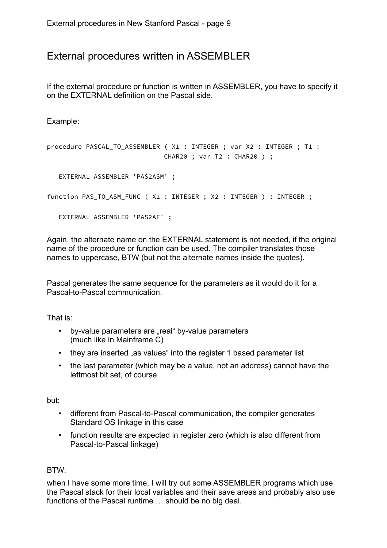## External procedures written in ASSEMBLER

If the external procedure or function is written in ASSEMBLER, you have to specify it on the EXTERNAL definition on the Pascal side.

Example:

```
procedure PASCAL_TO_ASSEMBLER ( X1 : INTEGER ; var X2 : INTEGER ; T1 :
                               CHAR20 ; var T2 : CHAR20 ) ;
    EXTERNAL ASSEMBLER 'PAS2ASM' ;
function PAS_TO_ASM_FUNC ( X1 : INTEGER ; X2 : INTEGER ) : INTEGER ;
    EXTERNAL ASSEMBLER 'PAS2AF' ;
```
Again, the alternate name on the EXTERNAL statement is not needed, if the original name of the procedure or function can be used. The compiler translates those names to uppercase, BTW (but not the alternate names inside the quotes).

Pascal generates the same sequence for the parameters as it would do it for a Pascal-to-Pascal communication.

That is:

- by-value parameters are "real" by-value parameters (much like in Mainframe C)
- they are inserted "as values" into the register 1 based parameter list
- the last parameter (which may be a value, not an address) cannot have the leftmost bit set, of course

but:

- different from Pascal-to-Pascal communication, the compiler generates Standard OS linkage in this case
- function results are expected in register zero (which is also different from Pascal-to-Pascal linkage)

#### BTW:

when I have some more time, I will try out some ASSEMBLER programs which use the Pascal stack for their local variables and their save areas and probably also use functions of the Pascal runtime … should be no big deal.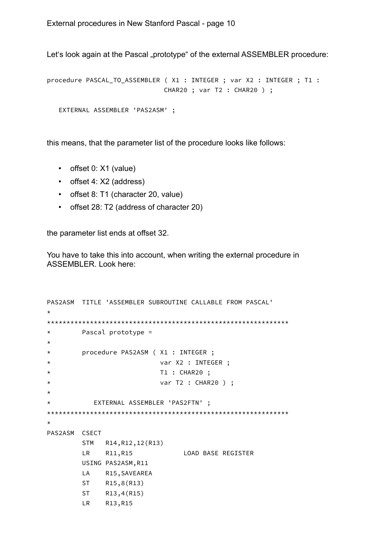Let's look again at the Pascal "prototype" of the external ASSEMBLER procedure:

procedure PASCAL\_TO\_ASSEMBLER ( X1 : INTEGER ; var X2 : INTEGER ; T1 : CHAR20 ; var T2 : CHAR20 ) ;

```
 EXTERNAL ASSEMBLER 'PAS2ASM' ;
```
this means, that the parameter list of the procedure looks like follows:

- offset 0: X1 (value)
- offset 4: X2 (address)
- offset 8: T1 (character 20, value)
- offset 28: T2 (address of character 20)

the parameter list ends at offset 32.

You have to take this into account, when writing the external procedure in ASSEMBLER. Look here:

```
PAS2ASM TITLE 'ASSEMBLER SUBROUTINE CALLABLE FROM PASCAL'
*
**************************************************************
* Pascal prototype =
*
* procedure PAS2ASM ( X1 : INTEGER ;
* var X2 : INTEGER ;
* T1 : CHAR20 ;
* var T2 : CHAR20 ) ;
*
* EXTERNAL ASSEMBLER 'PAS2FTN' ;
**************************************************************
*
PAS2ASM CSECT
        STM R14,R12,12(R13)
        LR R11,R15 LOAD BASE REGISTER
        USING PAS2ASM,R11
        LA R15,SAVEAREA
        ST R15,8(R13)
        ST R13,4(R15)
        LR R13,R15
```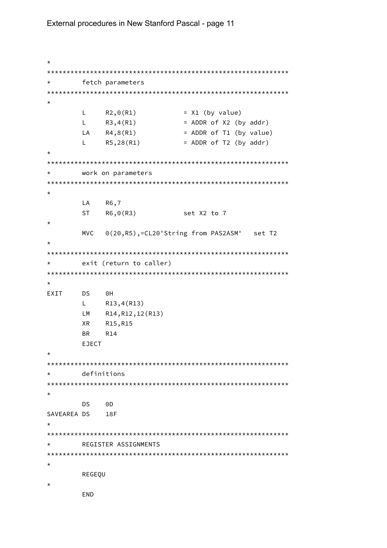#### External procedures in New Stanford Pascal - page 11

 $\star$ fetch parameters  $\star$  $\star$  $L \t R2,0(R1)$  $= X1$  (by value)  $L$  $R3,4(R1)$ = ADDR of X2 (by addr)  $LA$   $R4, 8(R1)$ = ADDR of T1 (by value)  $R5, 28(R1)$  $L = 1$ = ADDR of T2 (by addr)  $\star$  $\star$ work on parameters  $\star$ **LA** R6,7  $ST$  R6,0(R3) set X2 to 7  $\star$ 0(20,R5),=CL20'String from PAS2ASM' set T2 **MVC** exit (return to caller)  $\star$ EXIT DS 0H L  $R13,4(R13)$ LM R14, R12, 12 (R13) XR R15, R15 **R14 BR EJECT** definitions  $\star$ **DS** 0D SAVEAREA DS 18F  $\star$ REGISTER ASSIGNMENTS  $\star$  $\star$ REGEOU  $\star$ END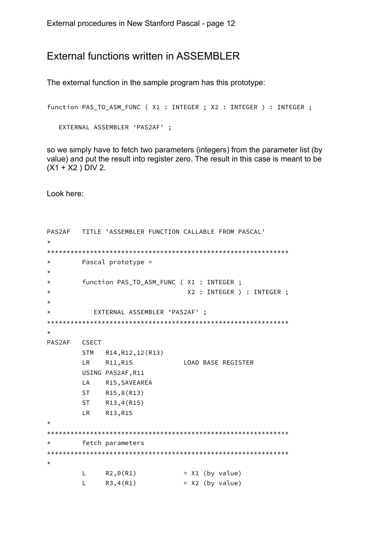### External functions written in ASSEMBLER

The external function in the sample program has this prototype:

```
function PAS_TO_ASM_FUNC ( X1 : INTEGER ; X2 : INTEGER ) : INTEGER ;
```

```
EXTERNAL ASSEMBLER 'PAS2AF' ;
```
so we simply have to fetch two parameters (integers) from the parameter list (by value) and put the result into register zero. The result in this case is meant to be  $(X1 + X2)$  DIV 2.

Look here:

```
PAS2AF
      TITLE 'ASSEMBLER FUNCTION CALLABLE FROM PASCAL'
\starPascal prototype =
\star\starfunction PAS_TO_ASM_FUNC (X1 : INTEGER ;
\starX2 : INTEGER ) : INTEGER ;
\starEXTERNAL ASSEMBLER 'PAS2AF' ;
\starPAS2AF
      CSECT
      STM R14, R12, 12 (R13)
      LR 1
          R11, R15
                       LOAD BASE REGISTER
      USING PAS2AF, R11
         R15, SAVEAREA
      LA
      ST
         R15, 8(R13)ST<sub>2</sub>
          R13, 4(R15)LR.
          R13, R15
\overline{1}fetch parameters
\star\starLR2,0(R1)= X1 (by value)
      \mathsf{L}R3,4(R1)= X2 (by value)
```